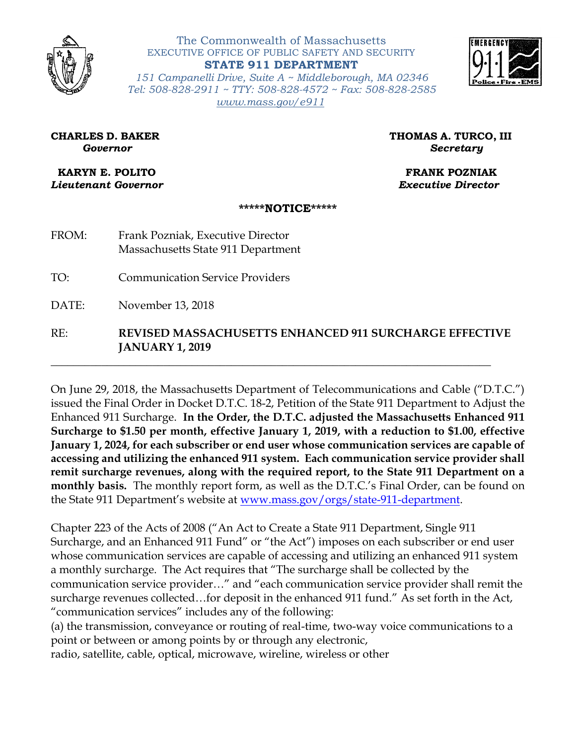

The Commonwealth of Massachusetts EXECUTIVE OFFICE OF PUBLIC SAFETY AND SECURITY **STATE 911 DEPARTMENT**



*151 Campanelli Drive, Suite A ~ Middleborough, MA 02346 Tel: 508-828-2911 ~ TTY: 508-828-4572 ~ Fax: 508-828-2585 [www.mass.gov/e911](http://www.mass.gov/e911)*

**CHARLES D. BAKER THOMAS A. TURCO, III** *Governor Secretary*

**KARYN E. POLITO FRANK POZNIAK** *Lieutenant Governor Executive Director* 

## **\*\*\*\*\*NOTICE\*\*\*\*\***

- FROM: Frank Pozniak, Executive Director Massachusetts State 911 Department
- TO: Communication Service Providers
- DATE: November 13, 2018

## RE: **REVISED MASSACHUSETTS ENHANCED 911 SURCHARGE EFFECTIVE JANUARY 1, 2019**

\_\_\_\_\_\_\_\_\_\_\_\_\_\_\_\_\_\_\_\_\_\_\_\_\_\_\_\_\_\_\_\_\_\_\_\_\_\_\_\_\_\_\_\_\_\_\_\_\_\_\_\_\_\_\_\_\_\_\_\_\_\_\_\_\_\_\_\_\_\_\_\_\_\_\_\_\_\_

On June 29, 2018, the Massachusetts Department of Telecommunications and Cable ("D.T.C.") issued the Final Order in Docket D.T.C. 18-2, Petition of the State 911 Department to Adjust the Enhanced 911 Surcharge. **In the Order, the D.T.C. adjusted the Massachusetts Enhanced 911 Surcharge to \$1.50 per month, effective January 1, 2019, with a reduction to \$1.00, effective January 1, 2024, for each subscriber or end user whose communication services are capable of accessing and utilizing the enhanced 911 system. Each communication service provider shall remit surcharge revenues, along with the required report, to the State 911 Department on a monthly basis.** The monthly report form, as well as the D.T.C.'s Final Order, can be found on the State 911 Department's website at [www.mass.gov/orgs/state-911-department.](http://www.mass.gov/orgs/state-911-department)

Chapter 223 of the Acts of 2008 ("An Act to Create a State 911 Department, Single 911 Surcharge, and an Enhanced 911 Fund" or "the Act") imposes on each subscriber or end user whose communication services are capable of accessing and utilizing an enhanced 911 system a monthly surcharge. The Act requires that "The surcharge shall be collected by the communication service provider…" and "each communication service provider shall remit the surcharge revenues collected…for deposit in the enhanced 911 fund." As set forth in the Act, "communication services" includes any of the following:

(a) the transmission, conveyance or routing of real-time, two-way voice communications to a point or between or among points by or through any electronic,

radio, satellite, cable, optical, microwave, wireline, wireless or other